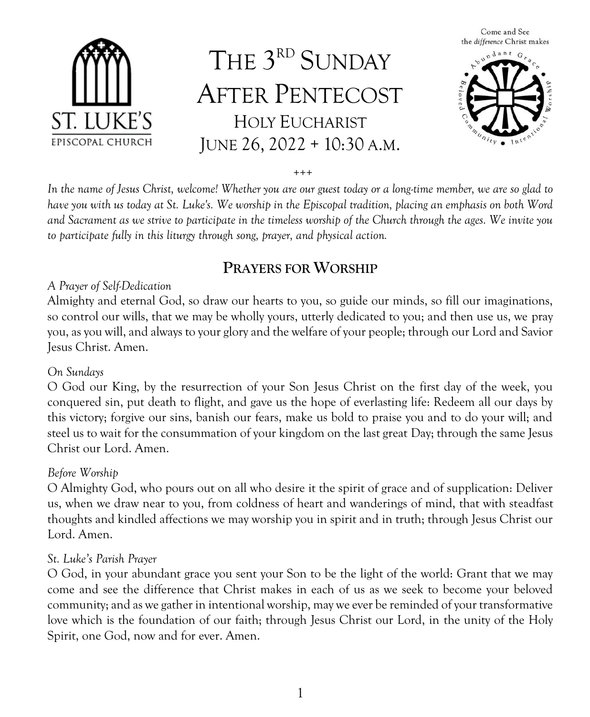

# THE 3<sup>RD</sup> SUNDAY AFTER PENTECOST HOLY EUCHARIST JUNE 26, 2022 + 10:30 A.M.



 $^{+++}$ 

*In the name of Jesus Christ, welcome! Whether you are our guest today or a long-time member, we are so glad to have you with us today at St. Luke's. We worship in the Episcopal tradition, placing an emphasis on both Word and Sacrament as we strive to participate in the timeless worship of the Church through the ages. We invite you to participate fully in this liturgy through song, prayer, and physical action.*

### **PRAYERS FOR WORSHIP**

### *A Prayer of Self-Dedication*

Almighty and eternal God, so draw our hearts to you, so guide our minds, so fill our imaginations, so control our wills, that we may be wholly yours, utterly dedicated to you; and then use us, we pray you, as you will, and always to your glory and the welfare of your people; through our Lord and Savior Jesus Christ. Amen.

### *On Sundays*

O God our King, by the resurrection of your Son Jesus Christ on the first day of the week, you conquered sin, put death to flight, and gave us the hope of everlasting life: Redeem all our days by this victory; forgive our sins, banish our fears, make us bold to praise you and to do your will; and steel us to wait for the consummation of your kingdom on the last great Day; through the same Jesus Christ our Lord. Amen.

### *Before Worship*

O Almighty God, who pours out on all who desire it the spirit of grace and of supplication: Deliver us, when we draw near to you, from coldness of heart and wanderings of mind, that with steadfast thoughts and kindled affections we may worship you in spirit and in truth; through Jesus Christ our Lord. Amen.

### *St. Luke's Parish Prayer*

O God, in your abundant grace you sent your Son to be the light of the world: Grant that we may come and see the difference that Christ makes in each of us as we seek to become your beloved community; and as we gather in intentional worship, may we ever be reminded of your transformative love which is the foundation of our faith; through Jesus Christ our Lord, in the unity of the Holy Spirit, one God, now and for ever. Amen.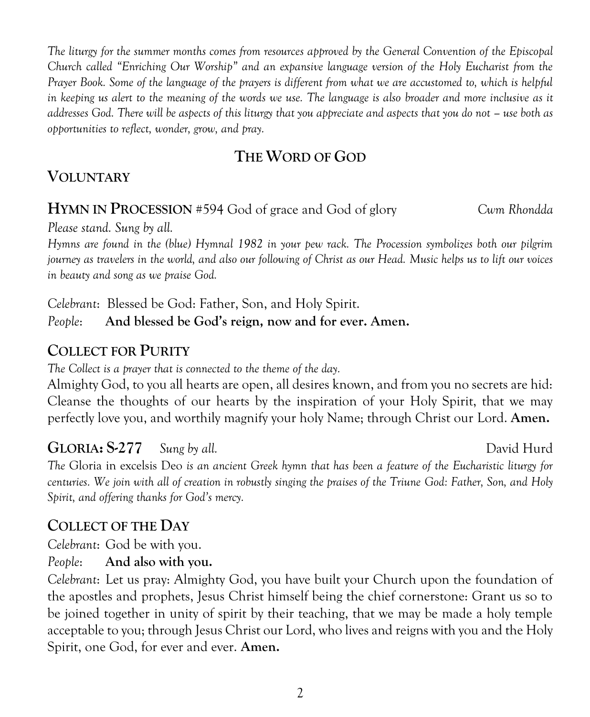*The liturgy for the summer months comes from resources approved by the General Convention of the Episcopal Church called "Enriching Our Worship" and an expansive language version of the Holy Eucharist from the Prayer Book. Some of the language of the prayers is different from what we are accustomed to, which is helpful in keeping us alert to the meaning of the words we use. The language is also broader and more inclusive as it addresses God. There will be aspects of this liturgy that you appreciate and aspects that you do not – use both as opportunities to reflect, wonder, grow, and pray.*

### **THE WORD OF GOD**

## **VOLUNTARY**

**HYMN IN PROCESSION** #594 God of grace and God of glory *Cwm Rhondda*

*Please stand. Sung by all.*

*Hymns are found in the (blue) Hymnal 1982 in your pew rack. The Procession symbolizes both our pilgrim journey as travelers in the world, and also our following of Christ as our Head. Music helps us to lift our voices in beauty and song as we praise God.*

*Celebrant*: Blessed be God: Father, Son, and Holy Spirit.

*People*: **And blessed be God's reign, now and for ever. Amen.**

### **COLLECT FOR PURITY**

*The Collect is a prayer that is connected to the theme of the day.*

Almighty God, to you all hearts are open, all desires known, and from you no secrets are hid: Cleanse the thoughts of our hearts by the inspiration of your Holy Spirit, that we may perfectly love you, and worthily magnify your holy Name; through Christ our Lord. **Amen.**

## **GLORIA: S-277** *Sung by all.* David Hurd

*The* Gloria in excelsis Deo *is an ancient Greek hymn that has been a feature of the Eucharistic liturgy for centuries. We join with all of creation in robustly singing the praises of the Triune God: Father, Son, and Holy Spirit, and offering thanks for God's mercy.*

## **COLLECT OF THE DAY**

*Celebrant*: God be with you.

*People*: **And also with you.**

*Celebrant*: Let us pray: Almighty God, you have built your Church upon the foundation of the apostles and prophets, Jesus Christ himself being the chief cornerstone: Grant us so to be joined together in unity of spirit by their teaching, that we may be made a holy temple acceptable to you; through Jesus Christ our Lord, who lives and reigns with you and the Holy Spirit, one God, for ever and ever. **Amen.**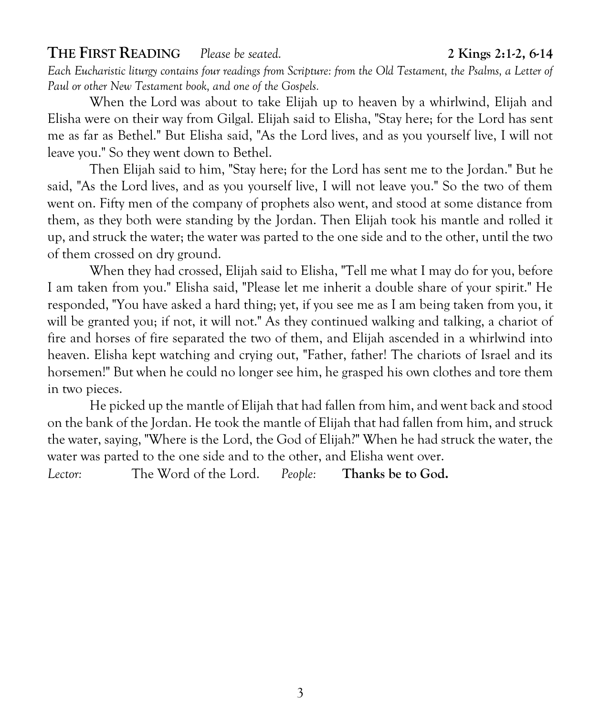### **THE FIRST READING** *Please be seated.* **2 Kings 2:1-2, 6-14**

*Each Eucharistic liturgy contains four readings from Scripture: from the Old Testament, the Psalms, a Letter of Paul or other New Testament book, and one of the Gospels.*

When the Lord was about to take Elijah up to heaven by a whirlwind, Elijah and Elisha were on their way from Gilgal. Elijah said to Elisha, "Stay here; for the Lord has sent me as far as Bethel." But Elisha said, "As the Lord lives, and as you yourself live, I will not leave you." So they went down to Bethel.

Then Elijah said to him, "Stay here; for the Lord has sent me to the Jordan." But he said, "As the Lord lives, and as you yourself live, I will not leave you." So the two of them went on. Fifty men of the company of prophets also went, and stood at some distance from them, as they both were standing by the Jordan. Then Elijah took his mantle and rolled it up, and struck the water; the water was parted to the one side and to the other, until the two of them crossed on dry ground.

When they had crossed, Elijah said to Elisha, "Tell me what I may do for you, before I am taken from you." Elisha said, "Please let me inherit a double share of your spirit." He responded, "You have asked a hard thing; yet, if you see me as I am being taken from you, it will be granted you; if not, it will not." As they continued walking and talking, a chariot of fire and horses of fire separated the two of them, and Elijah ascended in a whirlwind into heaven. Elisha kept watching and crying out, "Father, father! The chariots of Israel and its horsemen!" But when he could no longer see him, he grasped his own clothes and tore them in two pieces.

He picked up the mantle of Elijah that had fallen from him, and went back and stood on the bank of the Jordan. He took the mantle of Elijah that had fallen from him, and struck the water, saying, "Where is the Lord, the God of Elijah?" When he had struck the water, the water was parted to the one side and to the other, and Elisha went over.

*Lector:* The Word of the Lord. *People:* **Thanks be to God.**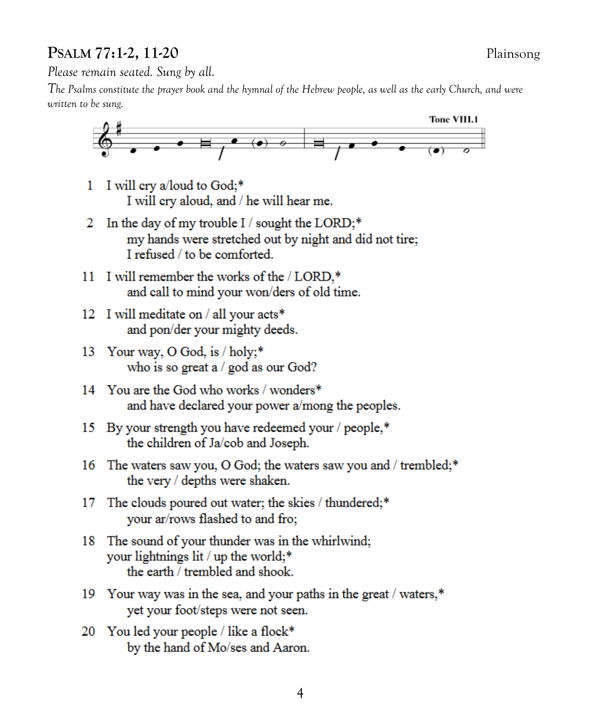### **PSALM 77:1-2, 11-20** Plainsong

*Please remain seated. Sung by all.*

*The Psalms constitute the prayer book and the hymnal of the Hebrew people, as well as the early Church, and were written to be sung.*



- 1 I will erv a/loud to God:\* I will cry aloud, and / he will hear me.
- 2 In the day of my trouble I / sought the LORD;\* my hands were stretched out by night and did not tire; I refused / to be comforted.
- 11 I will remember the works of the / LORD.\* and call to mind your won/ders of old time.
- 12 I will meditate on / all your acts\* and pon/der your mighty deeds.
- 13 Your way, O God, is / holy;\* who is so great a  $/$  god as our God?
- 14 You are the God who works / wonders\* and have declared your power a/mong the peoples.
- 15 By your strength you have redeemed your / people,\* the children of Ja/cob and Joseph.
- 16 The waters saw you, O God; the waters saw you and / trembled;\* the very / depths were shaken.
- 17 The clouds poured out water; the skies / thundered;\* your ar/rows flashed to and fro;
- The sound of your thunder was in the whirlwind; 18 your lightnings lit / up the world;\* the earth / trembled and shook.
- 19 Your way was in the sea, and your paths in the great / waters,\* yet your foot/steps were not seen.
- 20 You led your people / like a flock\* by the hand of Mo/ses and Aaron.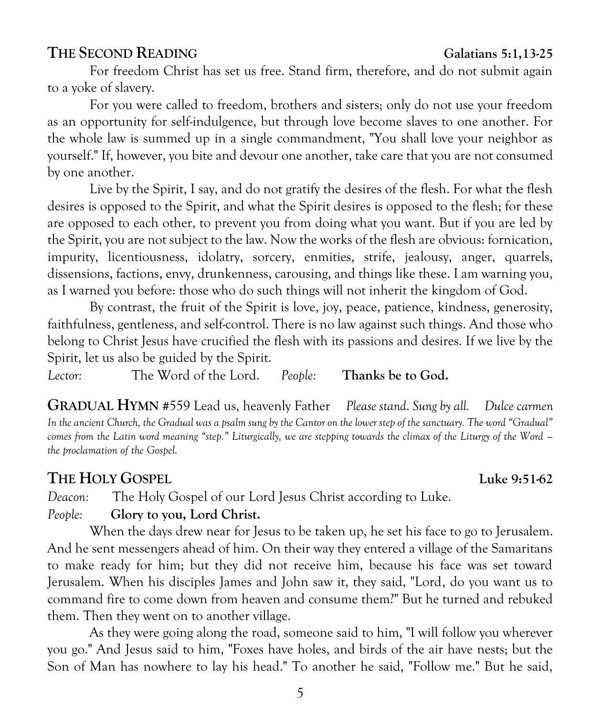### **THE SECOND READING Galatians 5:1,13-25**

### For freedom Christ has set us free. Stand firm, therefore, and do not submit again to a yoke of slavery.

For you were called to freedom, brothers and sisters; only do not use your freedom as an opportunity for self-indulgence, but through love become slaves to one another. For the whole law is summed up in a single commandment, "You shall love your neighbor as yourself." If, however, you bite and devour one another, take care that you are not consumed by one another.

Live by the Spirit, I say, and do not gratify the desires of the flesh. For what the flesh desires is opposed to the Spirit, and what the Spirit desires is opposed to the flesh; for these are opposed to each other, to prevent you from doing what you want. But if you are led by the Spirit, you are not subject to the law. Now the works of the flesh are obvious: fornication, impurity, licentiousness, idolatry, sorcery, enmities, strife, jealousy, anger, quarrels, dissensions, factions, envy, drunkenness, carousing, and things like these. I am warning you, as I warned you before: those who do such things will not inherit the kingdom of God.

By contrast, the fruit of the Spirit is love, joy, peace, patience, kindness, generosity, faithfulness, gentleness, and self-control. There is no law against such things. And those who belong to Christ Jesus have crucified the flesh with its passions and desires. If we live by the Spirit, let us also be guided by the Spirit.

*Lector:* The Word of the Lord. *People:* **Thanks be to God.** 

**GRADUAL HYMN** #559 Lead us, heavenly Father *Please stand*. *Sung by all. Dulce carmen In the ancient Church, the Gradual was a psalm sung by the Cantor on the lower step of the sanctuary. The word "Gradual" comes from the Latin word meaning "step." Liturgically, we are stepping towards the climax of the Liturgy of the Word – the proclamation of the Gospel.* 

# **THE HOLY GOSPEL Luke 9:51-62**

*Deacon:* The Holy Gospel of our Lord Jesus Christ according to Luke.

### *People:* **Glory to you, Lord Christ.**

When the days drew near for Jesus to be taken up, he set his face to go to Jerusalem. And he sent messengers ahead of him. On their way they entered a village of the Samaritans to make ready for him; but they did not receive him, because his face was set toward Jerusalem. When his disciples James and John saw it, they said, "Lord, do you want us to command fire to come down from heaven and consume them?" But he turned and rebuked them. Then they went on to another village.

As they were going along the road, someone said to him, "I will follow you wherever you go." And Jesus said to him, "Foxes have holes, and birds of the air have nests; but the Son of Man has nowhere to lay his head." To another he said, "Follow me." But he said,

5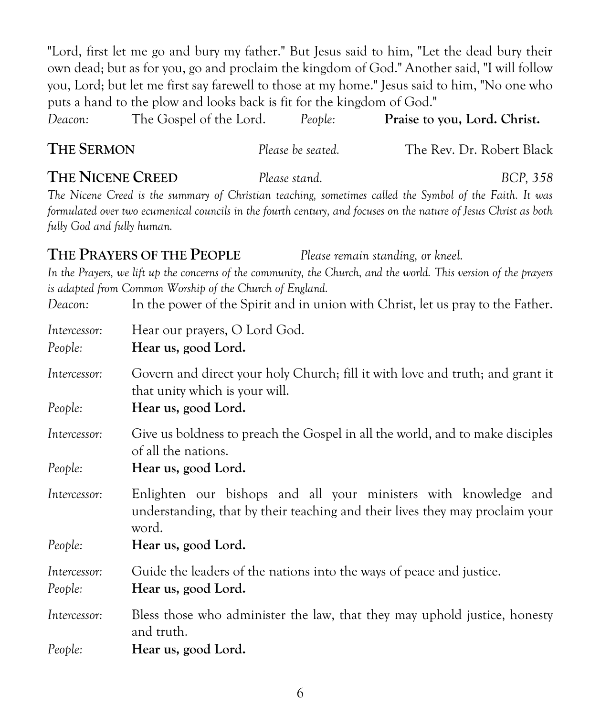6

"Lord, first let me go and bury my father." But Jesus said to him, "Let the dead bury their own dead; but as for you, go and proclaim the kingdom of God." Another said, "I will follow you, Lord; but let me first say farewell to those at my home." Jesus said to him, "No one who puts a hand to the plow and looks back is fit for the kingdom of God."

| Deacon: | The Gospel of the Lord. | People: | Praise to you, Lord. Christ. |
|---------|-------------------------|---------|------------------------------|
|         |                         |         |                              |

| <b>THE SERMON</b> | Please be seated. | The Rev. Dr. Robert Black |
|-------------------|-------------------|---------------------------|
|                   |                   |                           |

# **THE NICENE CREED** *Please stand. BCP, 358*

*The Nicene Creed is the summary of Christian teaching, sometimes called the Symbol of the Faith. It was formulated over two ecumenical councils in the fourth century, and focuses on the nature of Jesus Christ as both fully God and fully human.*

### **THE PRAYERS OF THE PEOPLE** *Please remain standing, or kneel. In the Prayers, we lift up the concerns of the community, the Church, and the world. This version of the prayers is adapted from Common Worship of the Church of England.*

| Deacon:                 | In the power of the Spirit and in union with Christ, let us pray to the Father.                                                        |
|-------------------------|----------------------------------------------------------------------------------------------------------------------------------------|
| Intercessor:<br>People: | Hear our prayers, O Lord God.<br>Hear us, good Lord.                                                                                   |
| Intercessor:<br>People: | Govern and direct your holy Church; fill it with love and truth; and grant it<br>that unity which is your will.<br>Hear us, good Lord. |
| Intercessor:<br>People: | Give us boldness to preach the Gospel in all the world, and to make disciples<br>of all the nations.<br>Hear us, good Lord.            |
| Intercessor:            | Enlighten our bishops and all your ministers with knowledge and                                                                        |
|                         | understanding, that by their teaching and their lives they may proclaim your<br>word.                                                  |
| People:                 | Hear us, good Lord.                                                                                                                    |
| Intercessor:<br>People: | Guide the leaders of the nations into the ways of peace and justice.<br>Hear us, good Lord.                                            |
| Intercessor:            | Bless those who administer the law, that they may uphold justice, honesty<br>and truth.                                                |
| People:                 | Hear us, good Lord.                                                                                                                    |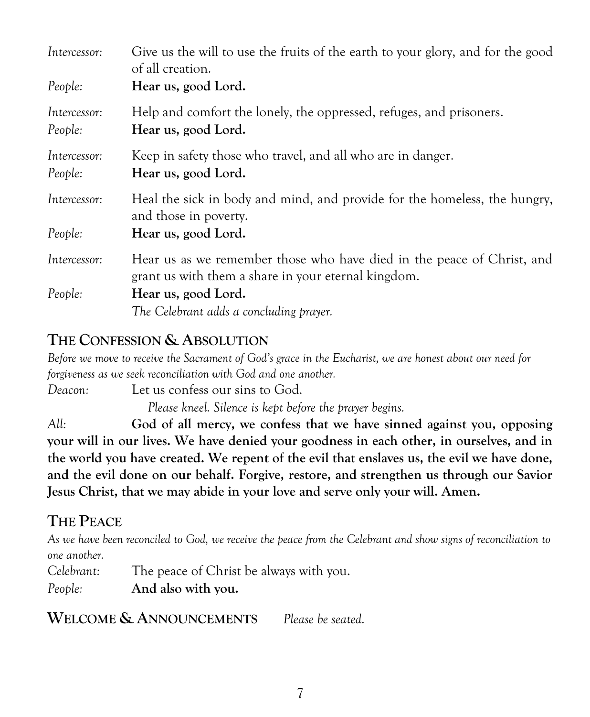| Intercessor:<br>People: | Give us the will to use the fruits of the earth to your glory, and for the good<br>of all creation.<br>Hear us, good Lord.    |
|-------------------------|-------------------------------------------------------------------------------------------------------------------------------|
| Intercessor:<br>People: | Help and comfort the lonely, the oppressed, refuges, and prisoners.<br>Hear us, good Lord.                                    |
| Intercessor:<br>People: | Keep in safety those who travel, and all who are in danger.<br>Hear us, good Lord.                                            |
| Intercessor:<br>People: | Heal the sick in body and mind, and provide for the homeless, the hungry,<br>and those in poverty.<br>Hear us, good Lord.     |
|                         |                                                                                                                               |
| Intercessor:            | Hear us as we remember those who have died in the peace of Christ, and<br>grant us with them a share in your eternal kingdom. |
| People:                 | Hear us, good Lord.                                                                                                           |
|                         | The Celebrant adds a concluding prayer.                                                                                       |

### **THE CONFESSION & ABSOLUTION**

*Before we move to receive the Sacrament of God's grace in the Eucharist, we are honest about our need for forgiveness as we seek reconciliation with God and one another.*

*Deacon:* Let us confess our sins to God.

*Please kneel. Silence is kept before the prayer begins.*

*All:* **God of all mercy, we confess that we have sinned against you, opposing your will in our lives. We have denied your goodness in each other, in ourselves, and in the world you have created. We repent of the evil that enslaves us, the evil we have done, and the evil done on our behalf. Forgive, restore, and strengthen us through our Savior Jesus Christ, that we may abide in your love and serve only your will. Amen.**

## **THE PEACE**

*As we have been reconciled to God, we receive the peace from the Celebrant and show signs of reconciliation to one another.*

*Celebrant:* The peace of Christ be always with you.

*People:* **And also with you.**

**WELCOME & ANNOUNCEMENTS** *Please be seated.*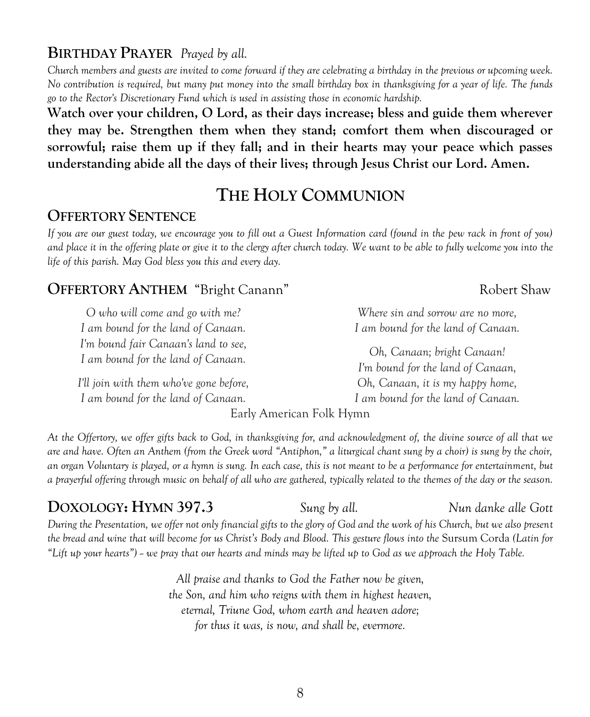### **BIRTHDAY PRAYER** *Prayed by all.*

*Church members and guests are invited to come forward if they are celebrating a birthday in the previous or upcoming week. No contribution is required, but many put money into the small birthday box in thanksgiving for a year of life. The funds go to the Rector's Discretionary Fund which is used in assisting those in economic hardship.*

**Watch over your children, O Lord, as their days increase; bless and guide them wherever they may be. Strengthen them when they stand; comfort them when discouraged or sorrowful; raise them up if they fall; and in their hearts may your peace which passes understanding abide all the days of their lives; through Jesus Christ our Lord. Amen.**

# **THE HOLY COMMUNION**

### **OFFERTORY SENTENCE**

*If you are our guest today, we encourage you to fill out a Guest Information card (found in the pew rack in front of you) and place it in the offering plate or give it to the clergy after church today. We want to be able to fully welcome you into the life of this parish. May God bless you this and every day.*

### **OFFERTORY ANTHEM** "Bright Canann" Robert Shaw

*O who will come and go with me? I am bound for the land of Canaan. I'm bound fair Canaan's land to see, I am bound for the land of Canaan.*

*I'll join with them who've gone before, I am bound for the land of Canaan.*

*Where sin and sorrow are no more, I am bound for the land of Canaan.*

*Oh, Canaan; bright Canaan! I'm bound for the land of Canaan, Oh, Canaan, it is my happy home, I am bound for the land of Canaan.*

Early American Folk Hymn

*At the Offertory, we offer gifts back to God, in thanksgiving for, and acknowledgment of, the divine source of all that we are and have. Often an Anthem (from the Greek word "Antiphon," a liturgical chant sung by a choir) is sung by the choir, an organ Voluntary is played, or a hymn is sung. In each case, this is not meant to be a performance for entertainment, but a prayerful offering through music on behalf of all who are gathered, typically related to the themes of the day or the season.*

## **DOXOLOGY: HYMN 397.3** *Sung by all. Nun danke alle Gott*

*During the Presentation, we offer not only financial gifts to the glory of God and the work of his Church, but we also present the bread and wine that will become for us Christ's Body and Blood. This gesture flows into the* Sursum Corda *(Latin for "Lift up your hearts") -- we pray that our hearts and minds may be lifted up to God as we approach the Holy Table.*

> *All praise and thanks to God the Father now be given, the Son, and him who reigns with them in highest heaven, eternal, Triune God, whom earth and heaven adore; for thus it was, is now, and shall be, evermore.*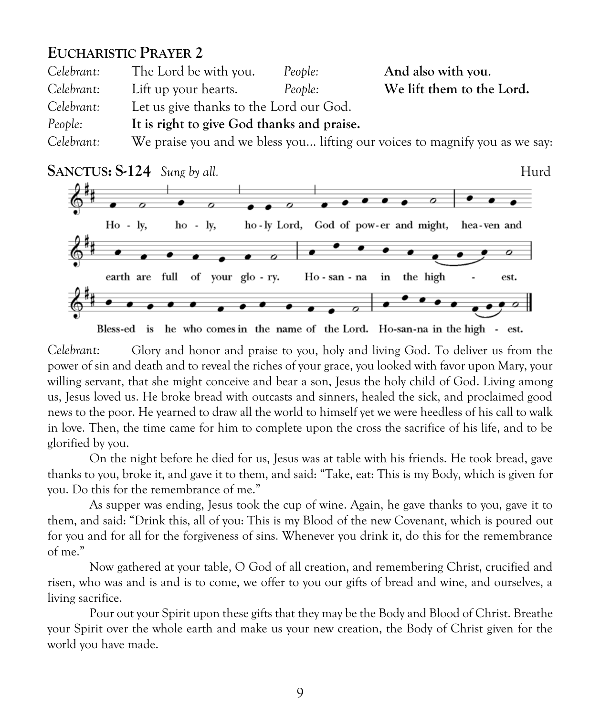# **EUCHARISTIC PRAYER 2**

| Celebrant: | The Lord be with you.                      | People: | And also with you.                                                          |
|------------|--------------------------------------------|---------|-----------------------------------------------------------------------------|
| Celebrant: | Lift up your hearts.                       | People: | We lift them to the Lord.                                                   |
| Celebrant: | Let us give thanks to the Lord our God.    |         |                                                                             |
| People:    | It is right to give God thanks and praise. |         |                                                                             |
| Celebrant: |                                            |         | We praise you and we bless you lifting our voices to magnify you as we say: |



*Celebrant:* Glory and honor and praise to you, holy and living God. To deliver us from the power of sin and death and to reveal the riches of your grace, you looked with favor upon Mary, your willing servant, that she might conceive and bear a son, Jesus the holy child of God. Living among us, Jesus loved us. He broke bread with outcasts and sinners, healed the sick, and proclaimed good news to the poor. He yearned to draw all the world to himself yet we were heedless of his call to walk in love. Then, the time came for him to complete upon the cross the sacrifice of his life, and to be glorified by you.

On the night before he died for us, Jesus was at table with his friends. He took bread, gave thanks to you, broke it, and gave it to them, and said: "Take, eat: This is my Body, which is given for you. Do this for the remembrance of me."

As supper was ending, Jesus took the cup of wine. Again, he gave thanks to you, gave it to them, and said: "Drink this, all of you: This is my Blood of the new Covenant, which is poured out for you and for all for the forgiveness of sins. Whenever you drink it, do this for the remembrance of me."

Now gathered at your table, O God of all creation, and remembering Christ, crucified and risen, who was and is and is to come, we offer to you our gifts of bread and wine, and ourselves, a living sacrifice.

Pour out your Spirit upon these gifts that they may be the Body and Blood of Christ. Breathe your Spirit over the whole earth and make us your new creation, the Body of Christ given for the world you have made.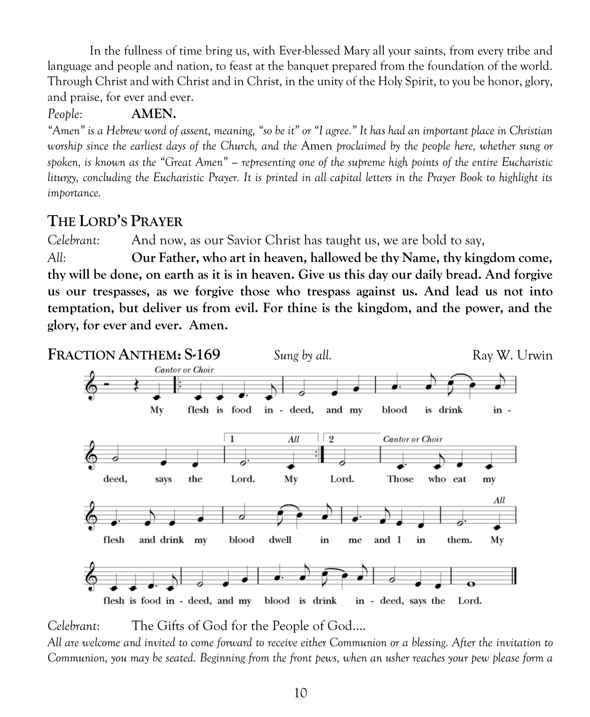In the fullness of time bring us, with Ever-blessed Mary all your saints, from every tribe and language and people and nation, to feast at the banquet prepared from the foundation of the world. Through Christ and with Christ and in Christ, in the unity of the Holy Spirit, to you be honor, glory, and praise, for ever and ever.

### *People:* **AMEN.**

*"Amen" is a Hebrew word of assent, meaning, "so be it" or "I agree." It has had an important place in Christian worship since the earliest days of the Church, and the* Amen *proclaimed by the people here, whether sung or spoken, is known as the "Great Amen" – representing one of the supreme high points of the entire Eucharistic liturgy, concluding the Eucharistic Prayer. It is printed in all capital letters in the Prayer Book to highlight its importance.*

### **THE LORD'S PRAYER**

*Celebrant:* And now, as our Savior Christ has taught us, we are bold to say,

*All:* **Our Father, who art in heaven, hallowed be thy Name, thy kingdom come, thy will be done, on earth as it is in heaven. Give us this day our daily bread. And forgive us our trespasses, as we forgive those who trespass against us. And lead us not into temptation, but deliver us from evil. For thine is the kingdom, and the power, and the glory, for ever and ever. Amen.** 



*Celebrant:* The Gifts of God for the People of God….

*All are welcome and invited to come forward to receive either Communion or a blessing. After the invitation to Communion, you may be seated. Beginning from the front pews, when an usher reaches your pew please form a*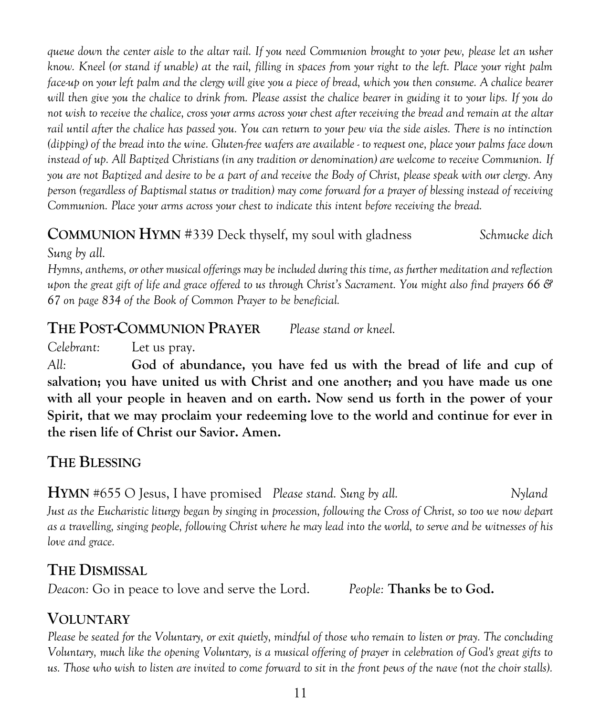*queue down the center aisle to the altar rail. If you need Communion brought to your pew, please let an usher know. Kneel (or stand if unable) at the rail, filling in spaces from your right to the left. Place your right palm face-up on your left palm and the clergy will give you a piece of bread, which you then consume. A chalice bearer will then give you the chalice to drink from. Please assist the chalice bearer in guiding it to your lips. If you do not wish to receive the chalice, cross your arms across your chest after receiving the bread and remain at the altar rail until after the chalice has passed you. You can return to your pew via the side aisles. There is no intinction (dipping) of the bread into the wine. Gluten-free wafers are available - to request one, place your palms face down instead of up. All Baptized Christians (in any tradition or denomination) are welcome to receive Communion. If you are not Baptized and desire to be a part of and receive the Body of Christ, please speak with our clergy. Any person (regardless of Baptismal status or tradition) may come forward for a prayer of blessing instead of receiving Communion. Place your arms across your chest to indicate this intent before receiving the bread.*

### **COMMUNION HYMN** #339 Deck thyself, my soul with gladness *Schmucke dich*

*Sung by all.*

*Hymns, anthems, or other musical offerings may be included during this time, as further meditation and reflection upon the great gift of life and grace offered to us through Christ's Sacrament. You might also find prayers 66 & 67 on page 834 of the Book of Common Prayer to be beneficial.*

# **THE POST-COMMUNION PRAYER** *Please stand or kneel.*

*Celebrant:* Let us pray.

*All:* **God of abundance, you have fed us with the bread of life and cup of salvation; you have united us with Christ and one another; and you have made us one with all your people in heaven and on earth. Now send us forth in the power of your Spirit, that we may proclaim your redeeming love to the world and continue for ever in the risen life of Christ our Savior. Amen.**

# **THE BLESSING**

**HYMN** #655 O Jesus, I have promised *Please stand. Sung by all. Nyland*

*Just as the Eucharistic liturgy began by singing in procession, following the Cross of Christ, so too we now depart as a travelling, singing people, following Christ where he may lead into the world, to serve and be witnesses of his love and grace.* 

# **THE DISMISSAL**

*Deacon:* Go in peace to love and serve the Lord. *People:* **Thanks be to God.**

# **VOLUNTARY**

*Please be seated for the Voluntary, or exit quietly, mindful of those who remain to listen or pray. The concluding Voluntary, much like the opening Voluntary, is a musical offering of prayer in celebration of God's great gifts to us. Those who wish to listen are invited to come forward to sit in the front pews of the nave (not the choir stalls).*